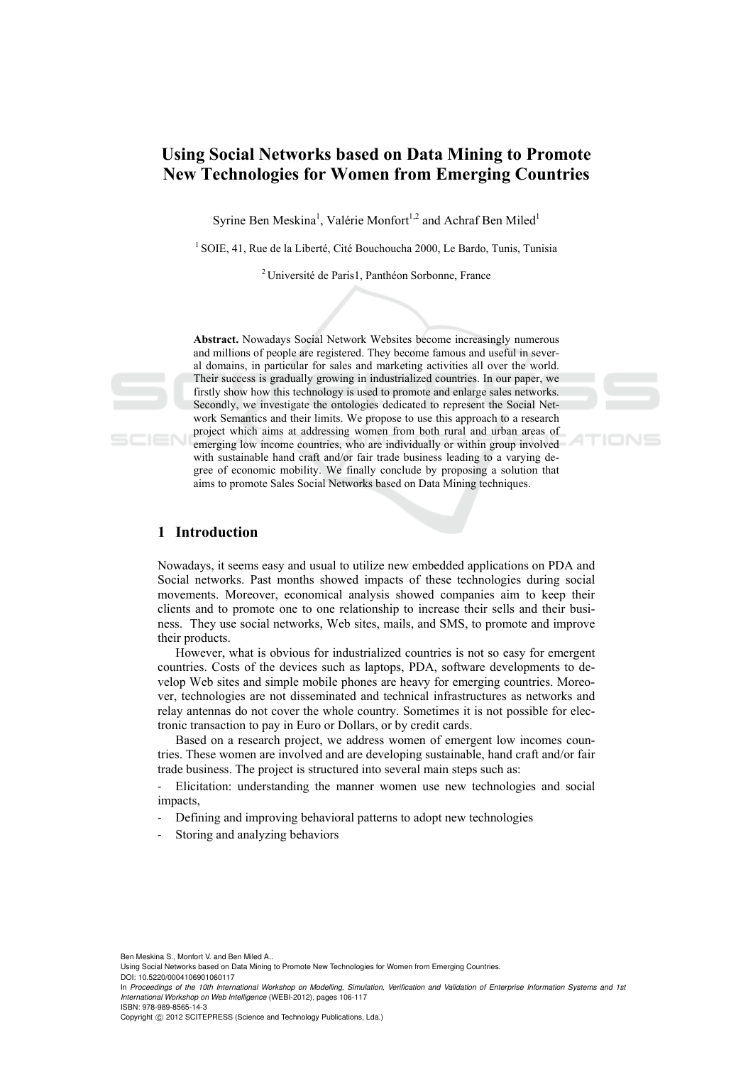# **Using Social Networks based on Data Mining to Promote New Technologies for Women from Emerging Countries**

Syrine Ben Meskina<sup>1</sup>, Valérie Monfort<sup>1,2</sup> and Achraf Ben Miled<sup>1</sup>

<sup>1</sup> SOIE, 41, Rue de la Liberté, Cité Bouchoucha 2000, Le Bardo, Tunis, Tunisia

2 Université de Paris1, Panthéon Sorbonne, France

**Abstract.** Nowadays Social Network Websites become increasingly numerous and millions of people are registered. They become famous and useful in several domains, in particular for sales and marketing activities all over the world. Their success is gradually growing in industrialized countries. In our paper, we firstly show how this technology is used to promote and enlarge sales networks. Secondly, we investigate the ontologies dedicated to represent the Social Network Semantics and their limits. We propose to use this approach to a research project which aims at addressing women from both rural and urban areas of emerging low income countries, who are individually or within group involved with sustainable hand craft and/or fair trade business leading to a varying degree of economic mobility. We finally conclude by proposing a solution that aims to promote Sales Social Networks based on Data Mining techniques.

# **1 Introduction**

SCIEN

Nowadays, it seems easy and usual to utilize new embedded applications on PDA and Social networks. Past months showed impacts of these technologies during social movements. Moreover, economical analysis showed companies aim to keep their clients and to promote one to one relationship to increase their sells and their business. They use social networks, Web sites, mails, and SMS, to promote and improve their products.

However, what is obvious for industrialized countries is not so easy for emergent countries. Costs of the devices such as laptops, PDA, software developments to develop Web sites and simple mobile phones are heavy for emerging countries. Moreover, technologies are not disseminated and technical infrastructures as networks and relay antennas do not cover the whole country. Sometimes it is not possible for electronic transaction to pay in Euro or Dollars, or by credit cards.

Based on a research project, we address women of emergent low incomes countries. These women are involved and are developing sustainable, hand craft and/or fair trade business. The project is structured into several main steps such as:

- Elicitation: understanding the manner women use new technologies and social impacts,

- Defining and improving behavioral patterns to adopt new technologies
- Storing and analyzing behaviors

Ben Meskina S., Monfort V. and Ben Miled A..

DOI: 10.5220/0004106901060117

Using Social Networks based on Data Mining to Promote New Technologies for Women from Emerging Countries.

In *Proceedings of the 10th International Workshop on Modelling, Simulation, Verification and Validation of Enterprise Information Systems and 1st International Workshop on Web Intelligence* (WEBI-2012), pages 106-117 ISBN: 978-989-8565-14-3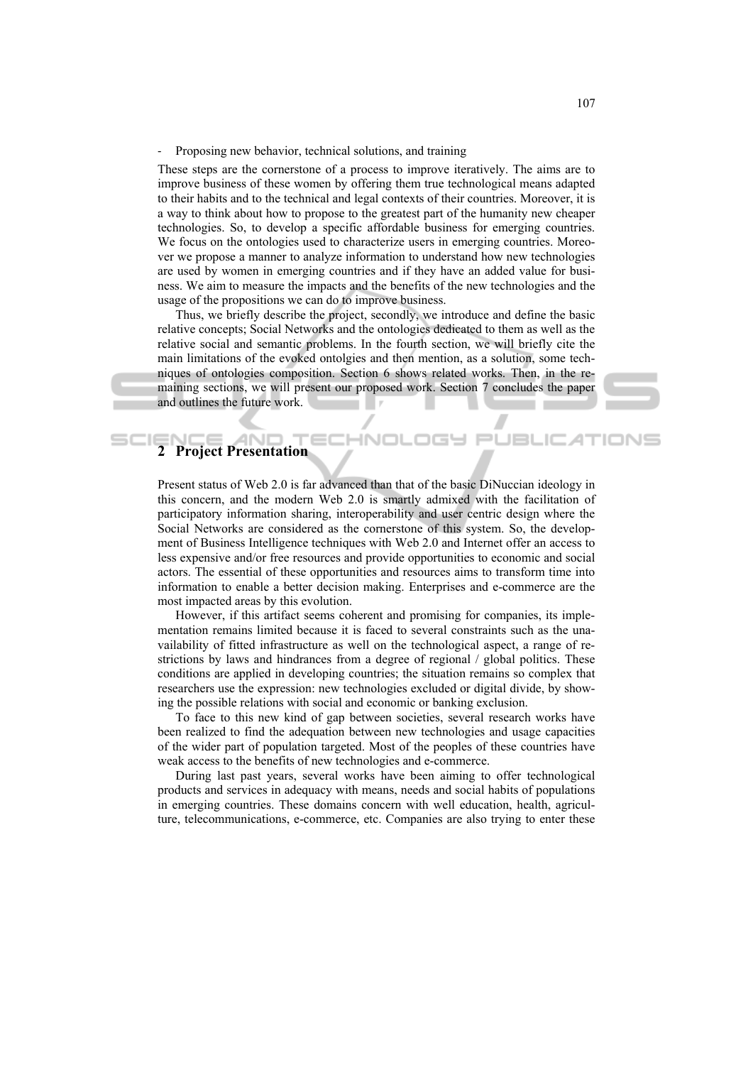#### - Proposing new behavior, technical solutions, and training

These steps are the cornerstone of a process to improve iteratively. The aims are to improve business of these women by offering them true technological means adapted to their habits and to the technical and legal contexts of their countries. Moreover, it is a way to think about how to propose to the greatest part of the humanity new cheaper technologies. So, to develop a specific affordable business for emerging countries. We focus on the ontologies used to characterize users in emerging countries. Moreover we propose a manner to analyze information to understand how new technologies are used by women in emerging countries and if they have an added value for business. We aim to measure the impacts and the benefits of the new technologies and the usage of the propositions we can do to improve business.

Thus, we briefly describe the project, secondly, we introduce and define the basic relative concepts; Social Networks and the ontologies dedicated to them as well as the relative social and semantic problems. In the fourth section, we will briefly cite the main limitations of the evoked ontolgies and then mention, as a solution, some techniques of ontologies composition. Section 6 shows related works. Then, in the remaining sections, we will present our proposed work. Section 7 concludes the paper and outlines the future work.

# **2 Project Presentation**

Present status of Web 2.0 is far advanced than that of the basic DiNuccian ideology in this concern, and the modern Web 2.0 is smartly admixed with the facilitation of participatory information sharing, interoperability and user centric design where the Social Networks are considered as the cornerstone of this system. So, the development of Business Intelligence techniques with Web 2.0 and Internet offer an access to less expensive and/or free resources and provide opportunities to economic and social actors. The essential of these opportunities and resources aims to transform time into information to enable a better decision making. Enterprises and e-commerce are the most impacted areas by this evolution.

However, if this artifact seems coherent and promising for companies, its implementation remains limited because it is faced to several constraints such as the unavailability of fitted infrastructure as well on the technological aspect, a range of restrictions by laws and hindrances from a degree of regional / global politics. These conditions are applied in developing countries; the situation remains so complex that researchers use the expression: new technologies excluded or digital divide, by showing the possible relations with social and economic or banking exclusion.

To face to this new kind of gap between societies, several research works have been realized to find the adequation between new technologies and usage capacities of the wider part of population targeted. Most of the peoples of these countries have weak access to the benefits of new technologies and e-commerce.

During last past years, several works have been aiming to offer technological products and services in adequacy with means, needs and social habits of populations in emerging countries. These domains concern with well education, health, agriculture, telecommunications, e-commerce, etc. Companies are also trying to enter these

JEL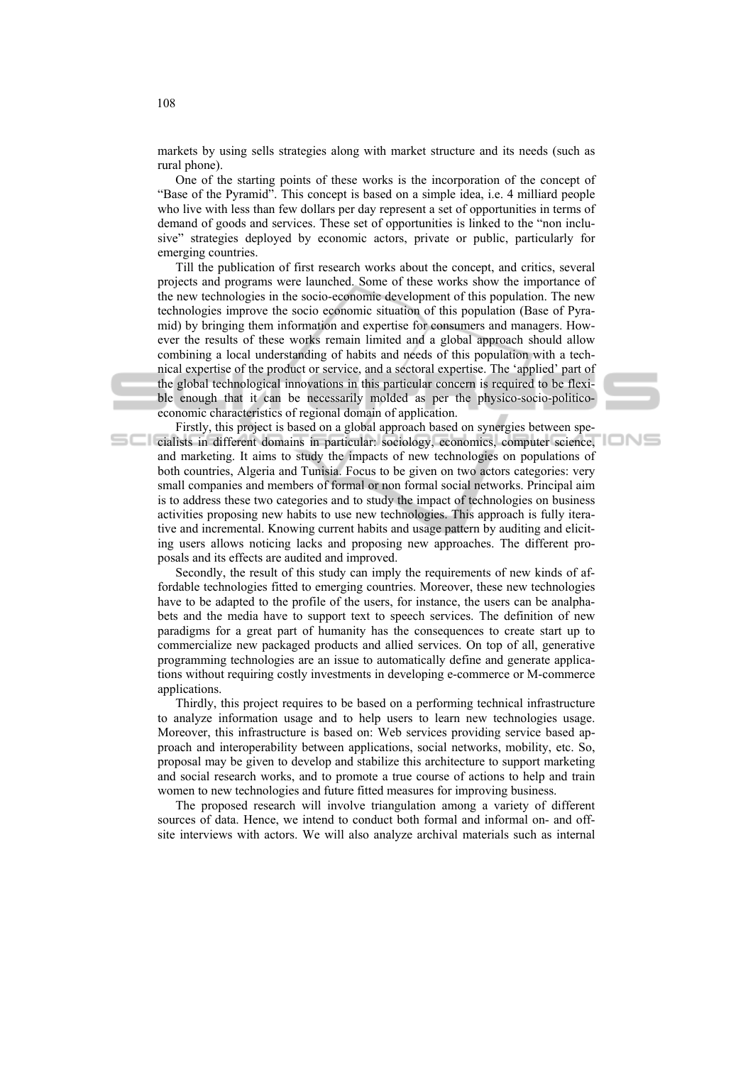markets by using sells strategies along with market structure and its needs (such as rural phone).

One of the starting points of these works is the incorporation of the concept of "Base of the Pyramid". This concept is based on a simple idea, i.e. 4 milliard people who live with less than few dollars per day represent a set of opportunities in terms of demand of goods and services. These set of opportunities is linked to the "non inclusive" strategies deployed by economic actors, private or public, particularly for emerging countries.

Till the publication of first research works about the concept, and critics, several projects and programs were launched. Some of these works show the importance of the new technologies in the socio-economic development of this population. The new technologies improve the socio economic situation of this population (Base of Pyramid) by bringing them information and expertise for consumers and managers. However the results of these works remain limited and a global approach should allow combining a local understanding of habits and needs of this population with a technical expertise of the product or service, and a sectoral expertise. The 'applied' part of the global technological innovations in this particular concern is required to be flexible enough that it can be necessarily molded as per the physico-socio-politicoeconomic characteristics of regional domain of application.

Firstly, this project is based on a global approach based on synergies between specialists in different domains in particular: sociology, economics, computer science, and marketing. It aims to study the impacts of new technologies on populations of both countries, Algeria and Tunisia. Focus to be given on two actors categories: very small companies and members of formal or non formal social networks. Principal aim is to address these two categories and to study the impact of technologies on business activities proposing new habits to use new technologies. This approach is fully iterative and incremental. Knowing current habits and usage pattern by auditing and eliciting users allows noticing lacks and proposing new approaches. The different proposals and its effects are audited and improved.

IONS

Secondly, the result of this study can imply the requirements of new kinds of affordable technologies fitted to emerging countries. Moreover, these new technologies have to be adapted to the profile of the users, for instance, the users can be analphabets and the media have to support text to speech services. The definition of new paradigms for a great part of humanity has the consequences to create start up to commercialize new packaged products and allied services. On top of all, generative programming technologies are an issue to automatically define and generate applications without requiring costly investments in developing e-commerce or M-commerce applications.

Thirdly, this project requires to be based on a performing technical infrastructure to analyze information usage and to help users to learn new technologies usage. Moreover, this infrastructure is based on: Web services providing service based approach and interoperability between applications, social networks, mobility, etc. So, proposal may be given to develop and stabilize this architecture to support marketing and social research works, and to promote a true course of actions to help and train women to new technologies and future fitted measures for improving business.

The proposed research will involve triangulation among a variety of different sources of data. Hence, we intend to conduct both formal and informal on- and offsite interviews with actors. We will also analyze archival materials such as internal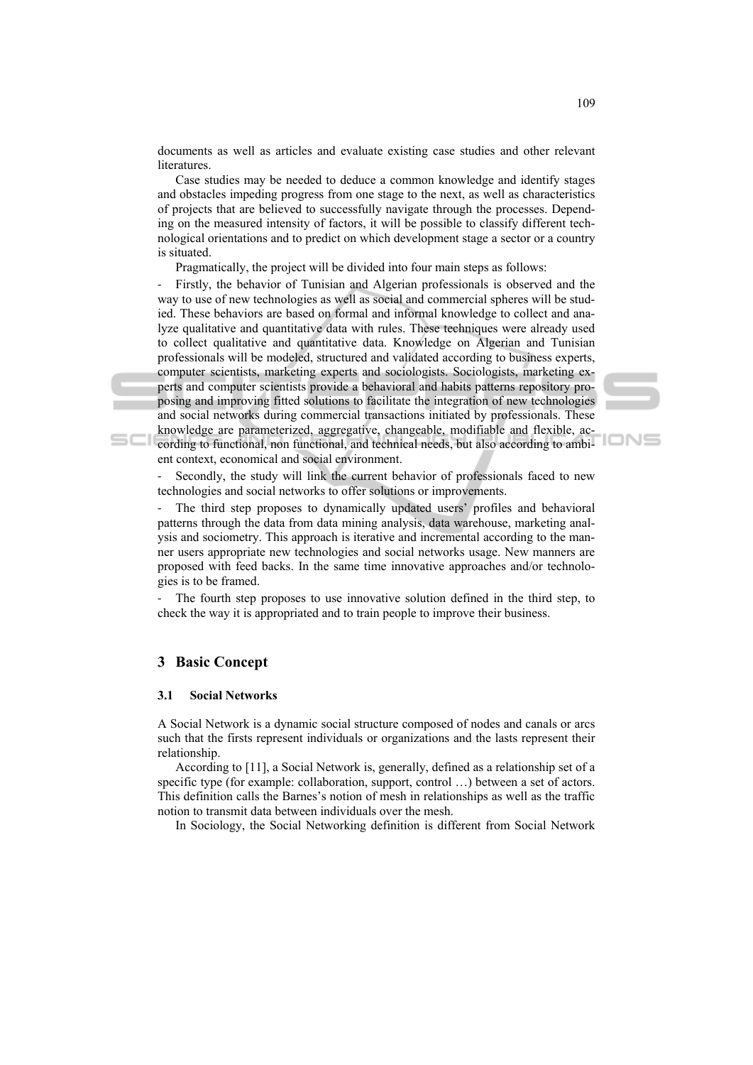documents as well as articles and evaluate existing case studies and other relevant **literatures** 

Case studies may be needed to deduce a common knowledge and identify stages and obstacles impeding progress from one stage to the next, as well as characteristics of projects that are believed to successfully navigate through the processes. Depending on the measured intensity of factors, it will be possible to classify different technological orientations and to predict on which development stage a sector or a country is situated.

Pragmatically, the project will be divided into four main steps as follows:

Firstly, the behavior of Tunisian and Algerian professionals is observed and the way to use of new technologies as well as social and commercial spheres will be studied. These behaviors are based on formal and informal knowledge to collect and analyze qualitative and quantitative data with rules. These techniques were already used to collect qualitative and quantitative data. Knowledge on Algerian and Tunisian professionals will be modeled, structured and validated according to business experts, computer scientists, marketing experts and sociologists. Sociologists, marketing experts and computer scientists provide a behavioral and habits patterns repository proposing and improving fitted solutions to facilitate the integration of new technologies and social networks during commercial transactions initiated by professionals. These knowledge are parameterized, aggregative, changeable, modifiable and flexible, according to functional, non functional, and technical needs, but also according to ambient context, economical and social environment.

Secondly, the study will link the current behavior of professionals faced to new technologies and social networks to offer solutions or improvements.

The third step proposes to dynamically updated users' profiles and behavioral patterns through the data from data mining analysis, data warehouse, marketing analysis and sociometry. This approach is iterative and incremental according to the manner users appropriate new technologies and social networks usage. New manners are proposed with feed backs. In the same time innovative approaches and/or technologies is to be framed.

- The fourth step proposes to use innovative solution defined in the third step, to check the way it is appropriated and to train people to improve their business.

# **3 Basic Concept**

 $SCI$ 

#### **3.1 Social Networks**

A Social Network is a dynamic social structure composed of nodes and canals or arcs such that the firsts represent individuals or organizations and the lasts represent their relationship.

According to [11], a Social Network is, generally, defined as a relationship set of a specific type (for example: collaboration, support, control ...) between a set of actors. This definition calls the Barnes's notion of mesh in relationships as well as the traffic notion to transmit data between individuals over the mesh.

In Sociology, the Social Networking definition is different from Social Network

IONS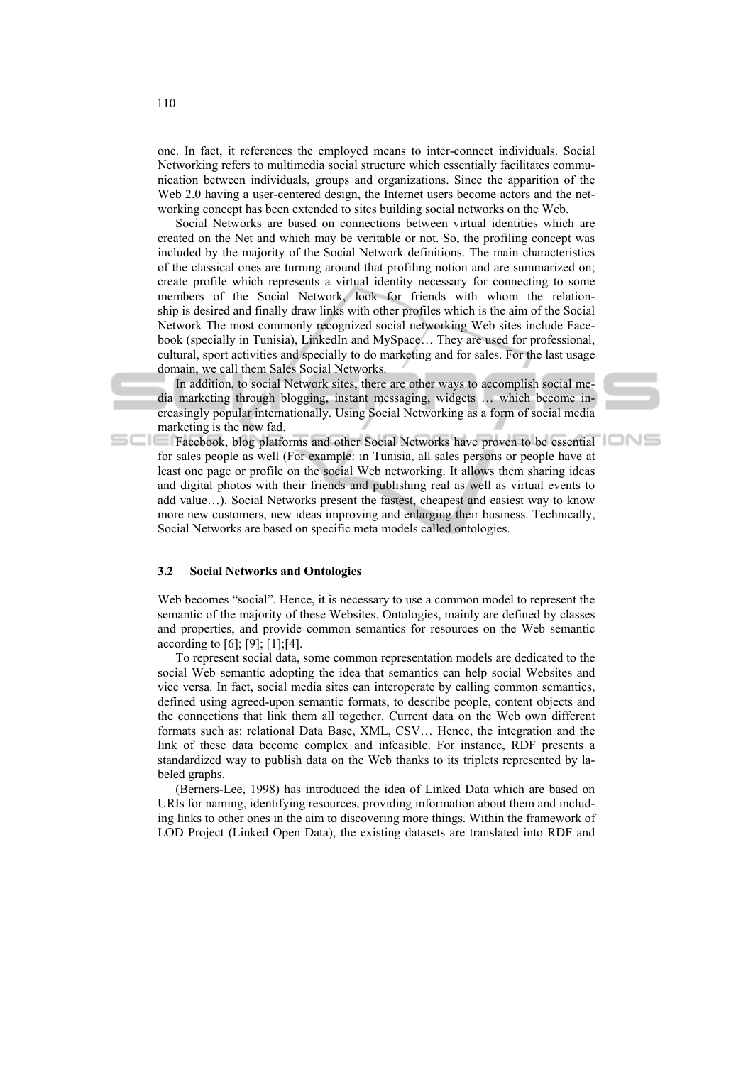one. In fact, it references the employed means to inter-connect individuals. Social Networking refers to multimedia social structure which essentially facilitates communication between individuals, groups and organizations. Since the apparition of the Web 2.0 having a user-centered design, the Internet users become actors and the networking concept has been extended to sites building social networks on the Web.

Social Networks are based on connections between virtual identities which are created on the Net and which may be veritable or not. So, the profiling concept was included by the majority of the Social Network definitions. The main characteristics of the classical ones are turning around that profiling notion and are summarized on; create profile which represents a virtual identity necessary for connecting to some members of the Social Network, look for friends with whom the relationship is desired and finally draw links with other profiles which is the aim of the Social Network The most commonly recognized social networking Web sites include Facebook (specially in Tunisia), LinkedIn and MySpace… They are used for professional, cultural, sport activities and specially to do marketing and for sales. For the last usage domain, we call them Sales Social Networks.

In addition, to social Network sites, there are other ways to accomplish social media marketing through blogging, instant messaging, widgets … which become increasingly popular internationally. Using Social Networking as a form of social media marketing is the new fad.

Facebook, blog platforms and other Social Networks have proven to be essential for sales people as well (For example: in Tunisia, all sales persons or people have at least one page or profile on the social Web networking. It allows them sharing ideas and digital photos with their friends and publishing real as well as virtual events to add value…). Social Networks present the fastest, cheapest and easiest way to know more new customers, new ideas improving and enlarging their business. Technically, Social Networks are based on specific meta models called ontologies.

#### **3.2 Social Networks and Ontologies**

Web becomes "social". Hence, it is necessary to use a common model to represent the semantic of the majority of these Websites. Ontologies, mainly are defined by classes and properties, and provide common semantics for resources on the Web semantic according to [6]; [9]; [1];[4].

To represent social data, some common representation models are dedicated to the social Web semantic adopting the idea that semantics can help social Websites and vice versa. In fact, social media sites can interoperate by calling common semantics, defined using agreed-upon semantic formats, to describe people, content objects and the connections that link them all together. Current data on the Web own different formats such as: relational Data Base, XML, CSV… Hence, the integration and the link of these data become complex and infeasible. For instance, RDF presents a standardized way to publish data on the Web thanks to its triplets represented by labeled graphs.

(Berners-Lee, 1998) has introduced the idea of Linked Data which are based on URIs for naming, identifying resources, providing information about them and including links to other ones in the aim to discovering more things. Within the framework of LOD Project (Linked Open Data), the existing datasets are translated into RDF and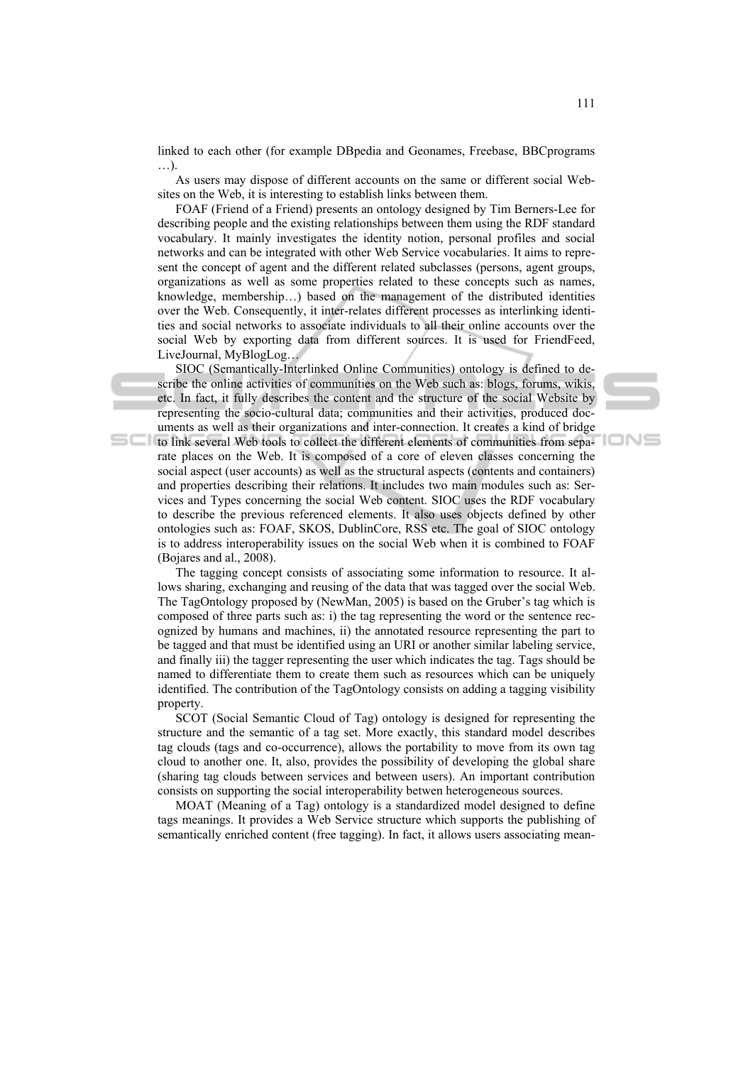linked to each other (for example DBpedia and Geonames, Freebase, BBCprograms …).

As users may dispose of different accounts on the same or different social Websites on the Web, it is interesting to establish links between them.

FOAF (Friend of a Friend) presents an ontology designed by Tim Berners-Lee for describing people and the existing relationships between them using the RDF standard vocabulary. It mainly investigates the identity notion, personal profiles and social networks and can be integrated with other Web Service vocabularies. It aims to represent the concept of agent and the different related subclasses (persons, agent groups, organizations as well as some properties related to these concepts such as names, knowledge, membership…) based on the management of the distributed identities over the Web. Consequently, it inter-relates different processes as interlinking identities and social networks to associate individuals to all their online accounts over the social Web by exporting data from different sources. It is used for FriendFeed, LiveJournal, MyBlogLog…

SIOC (Semantically-Interlinked Online Communities) ontology is defined to describe the online activities of communities on the Web such as: blogs, forums, wikis, etc. In fact, it fully describes the content and the structure of the social Website by representing the socio-cultural data; communities and their activities, produced documents as well as their organizations and inter-connection. It creates a kind of bridge

to link several Web tools to collect the different elements of communities from separate places on the Web. It is composed of a core of eleven classes concerning the social aspect (user accounts) as well as the structural aspects (contents and containers) and properties describing their relations. It includes two main modules such as: Services and Types concerning the social Web content. SIOC uses the RDF vocabulary to describe the previous referenced elements. It also uses objects defined by other ontologies such as: FOAF, SKOS, DublinCore, RSS etc. The goal of SIOC ontology is to address interoperability issues on the social Web when it is combined to FOAF (Bojares and al., 2008).

The tagging concept consists of associating some information to resource. It allows sharing, exchanging and reusing of the data that was tagged over the social Web. The TagOntology proposed by (NewMan, 2005) is based on the Gruber's tag which is composed of three parts such as: i) the tag representing the word or the sentence recognized by humans and machines, ii) the annotated resource representing the part to be tagged and that must be identified using an URI or another similar labeling service, and finally iii) the tagger representing the user which indicates the tag. Tags should be named to differentiate them to create them such as resources which can be uniquely identified. The contribution of the TagOntology consists on adding a tagging visibility property.

SCOT (Social Semantic Cloud of Tag) ontology is designed for representing the structure and the semantic of a tag set. More exactly, this standard model describes tag clouds (tags and co-occurrence), allows the portability to move from its own tag cloud to another one. It, also, provides the possibility of developing the global share (sharing tag clouds between services and between users). An important contribution consists on supporting the social interoperability betwen heterogeneous sources.

MOAT (Meaning of a Tag) ontology is a standardized model designed to define tags meanings. It provides a Web Service structure which supports the publishing of semantically enriched content (free tagging). In fact, it allows users associating mean-

10NS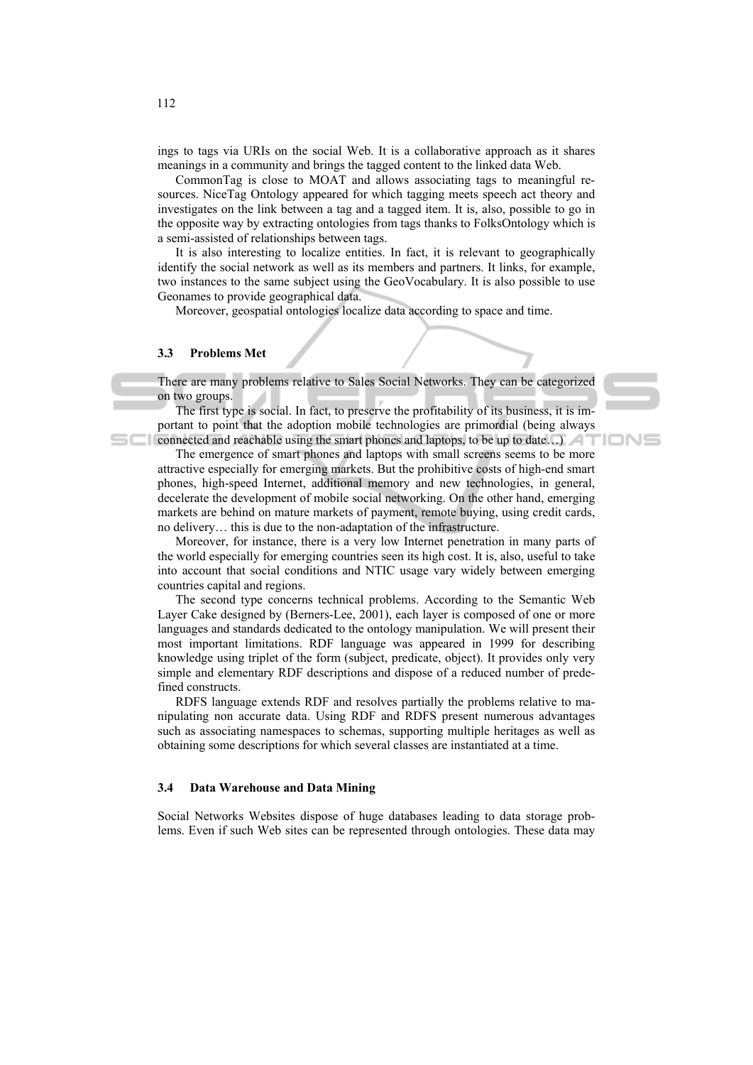ings to tags via URIs on the social Web. It is a collaborative approach as it shares meanings in a community and brings the tagged content to the linked data Web.

CommonTag is close to MOAT and allows associating tags to meaningful resources. NiceTag Ontology appeared for which tagging meets speech act theory and investigates on the link between a tag and a tagged item. It is, also, possible to go in the opposite way by extracting ontologies from tags thanks to FolksOntology which is a semi-assisted of relationships between tags.

It is also interesting to localize entities. In fact, it is relevant to geographically identify the social network as well as its members and partners. It links, for example, two instances to the same subject using the GeoVocabulary. It is also possible to use Geonames to provide geographical data.

Moreover, geospatial ontologies localize data according to space and time.

## **3.3 Problems Met**

There are many problems relative to Sales Social Networks. They can be categorized on two groups.

The first type is social. In fact, to preserve the profitability of its business, it is important to point that the adoption mobile technologies are primordial (being always connected and reachable using the smart phones and laptops, to be up to date...)

'IONE

The emergence of smart phones and laptops with small screens seems to be more attractive especially for emerging markets. But the prohibitive costs of high-end smart phones, high-speed Internet, additional memory and new technologies, in general, decelerate the development of mobile social networking. On the other hand, emerging markets are behind on mature markets of payment, remote buying, using credit cards, no delivery… this is due to the non-adaptation of the infrastructure.

Moreover, for instance, there is a very low Internet penetration in many parts of the world especially for emerging countries seen its high cost. It is, also, useful to take into account that social conditions and NTIC usage vary widely between emerging countries capital and regions.

The second type concerns technical problems. According to the Semantic Web Layer Cake designed by (Berners-Lee, 2001), each layer is composed of one or more languages and standards dedicated to the ontology manipulation. We will present their most important limitations. RDF language was appeared in 1999 for describing knowledge using triplet of the form (subject, predicate, object). It provides only very simple and elementary RDF descriptions and dispose of a reduced number of predefined constructs.

RDFS language extends RDF and resolves partially the problems relative to manipulating non accurate data. Using RDF and RDFS present numerous advantages such as associating namespaces to schemas, supporting multiple heritages as well as obtaining some descriptions for which several classes are instantiated at a time.

#### **3.4 Data Warehouse and Data Mining**

Social Networks Websites dispose of huge databases leading to data storage problems. Even if such Web sites can be represented through ontologies. These data may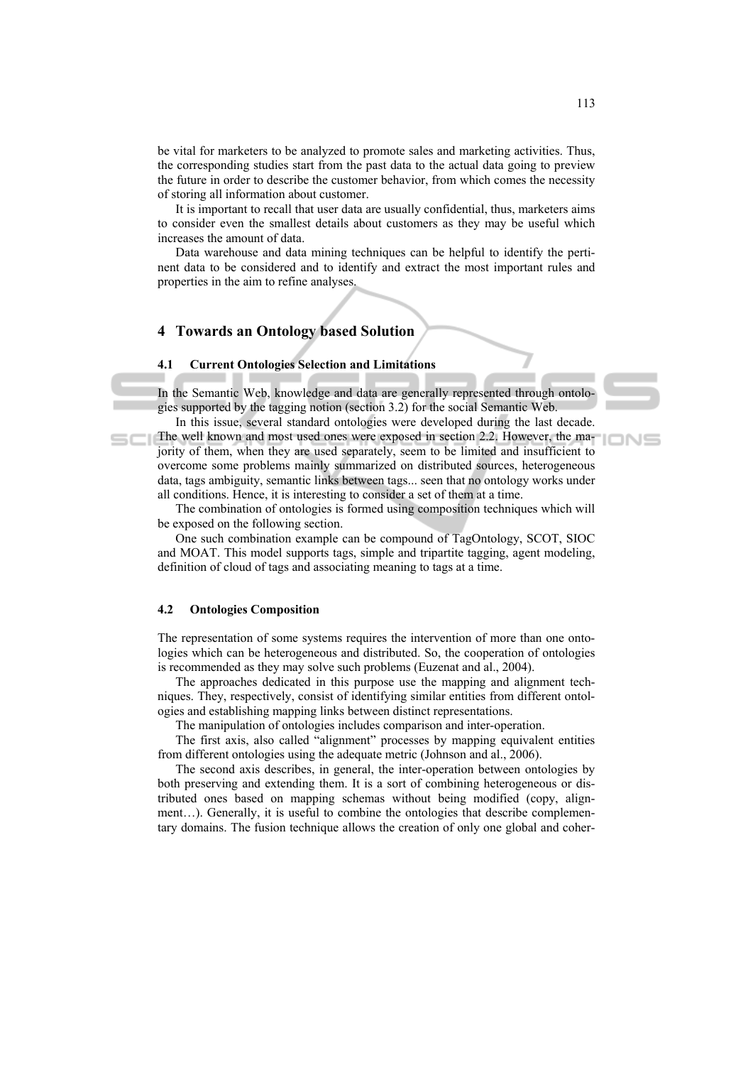be vital for marketers to be analyzed to promote sales and marketing activities. Thus, the corresponding studies start from the past data to the actual data going to preview the future in order to describe the customer behavior, from which comes the necessity of storing all information about customer.

It is important to recall that user data are usually confidential, thus, marketers aims to consider even the smallest details about customers as they may be useful which increases the amount of data.

Data warehouse and data mining techniques can be helpful to identify the pertinent data to be considered and to identify and extract the most important rules and properties in the aim to refine analyses.

## **4 Towards an Ontology based Solution**

#### **4.1 Current Ontologies Selection and Limitations**

In the Semantic Web, knowledge and data are generally represented through ontologies supported by the tagging notion (section 3.2) for the social Semantic Web.

In this issue, several standard ontologies were developed during the last decade. The well known and most used ones were exposed in section 2.2. However, the majority of them, when they are used separately, seem to be limited and insufficient to overcome some problems mainly summarized on distributed sources, heterogeneous data, tags ambiguity, semantic links between tags... seen that no ontology works under all conditions. Hence, it is interesting to consider a set of them at a time.

The combination of ontologies is formed using composition techniques which will be exposed on the following section.

One such combination example can be compound of TagOntology, SCOT, SIOC and MOAT. This model supports tags, simple and tripartite tagging, agent modeling, definition of cloud of tags and associating meaning to tags at a time.

#### **4.2 Ontologies Composition**

The representation of some systems requires the intervention of more than one ontologies which can be heterogeneous and distributed. So, the cooperation of ontologies is recommended as they may solve such problems (Euzenat and al., 2004).

The approaches dedicated in this purpose use the mapping and alignment techniques. They, respectively, consist of identifying similar entities from different ontologies and establishing mapping links between distinct representations.

The manipulation of ontologies includes comparison and inter-operation.

The first axis, also called "alignment" processes by mapping equivalent entities from different ontologies using the adequate metric (Johnson and al., 2006).

The second axis describes, in general, the inter-operation between ontologies by both preserving and extending them. It is a sort of combining heterogeneous or distributed ones based on mapping schemas without being modified (copy, alignment…). Generally, it is useful to combine the ontologies that describe complementary domains. The fusion technique allows the creation of only one global and coher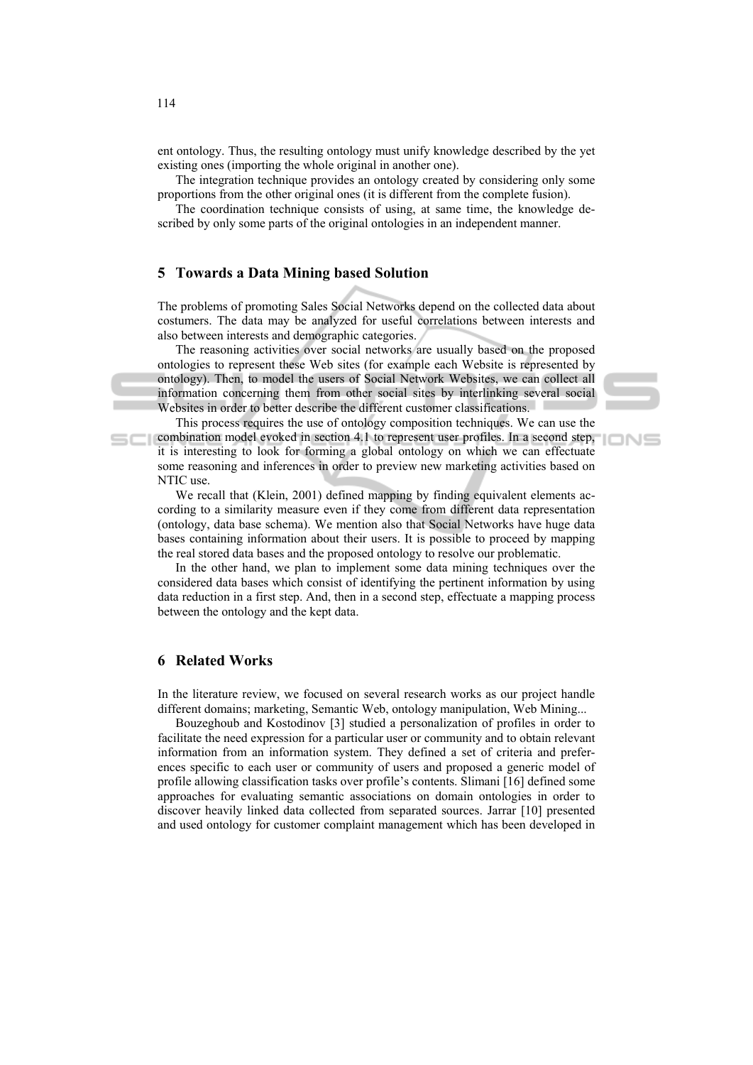ent ontology. Thus, the resulting ontology must unify knowledge described by the yet existing ones (importing the whole original in another one).

The integration technique provides an ontology created by considering only some proportions from the other original ones (it is different from the complete fusion).

The coordination technique consists of using, at same time, the knowledge described by only some parts of the original ontologies in an independent manner.

# **5 Towards a Data Mining based Solution**

The problems of promoting Sales Social Networks depend on the collected data about costumers. The data may be analyzed for useful correlations between interests and also between interests and demographic categories.

The reasoning activities over social networks are usually based on the proposed ontologies to represent these Web sites (for example each Website is represented by ontology). Then, to model the users of Social Network Websites, we can collect all information concerning them from other social sites by interlinking several social Websites in order to better describe the different customer classifications.

This process requires the use of ontology composition techniques. We can use the combination model evoked in section 4.1 to represent user profiles. In a second step, it is interesting to look for forming a global ontology on which we can effectuate some reasoning and inferences in order to preview new marketing activities based on NTIC use.

IONS

We recall that (Klein, 2001) defined mapping by finding equivalent elements according to a similarity measure even if they come from different data representation (ontology, data base schema). We mention also that Social Networks have huge data bases containing information about their users. It is possible to proceed by mapping the real stored data bases and the proposed ontology to resolve our problematic.

In the other hand, we plan to implement some data mining techniques over the considered data bases which consist of identifying the pertinent information by using data reduction in a first step. And, then in a second step, effectuate a mapping process between the ontology and the kept data.

# **6 Related Works**

In the literature review, we focused on several research works as our project handle different domains; marketing, Semantic Web, ontology manipulation, Web Mining...

Bouzeghoub and Kostodinov [3] studied a personalization of profiles in order to facilitate the need expression for a particular user or community and to obtain relevant information from an information system. They defined a set of criteria and preferences specific to each user or community of users and proposed a generic model of profile allowing classification tasks over profile's contents. Slimani [16] defined some approaches for evaluating semantic associations on domain ontologies in order to discover heavily linked data collected from separated sources. Jarrar [10] presented and used ontology for customer complaint management which has been developed in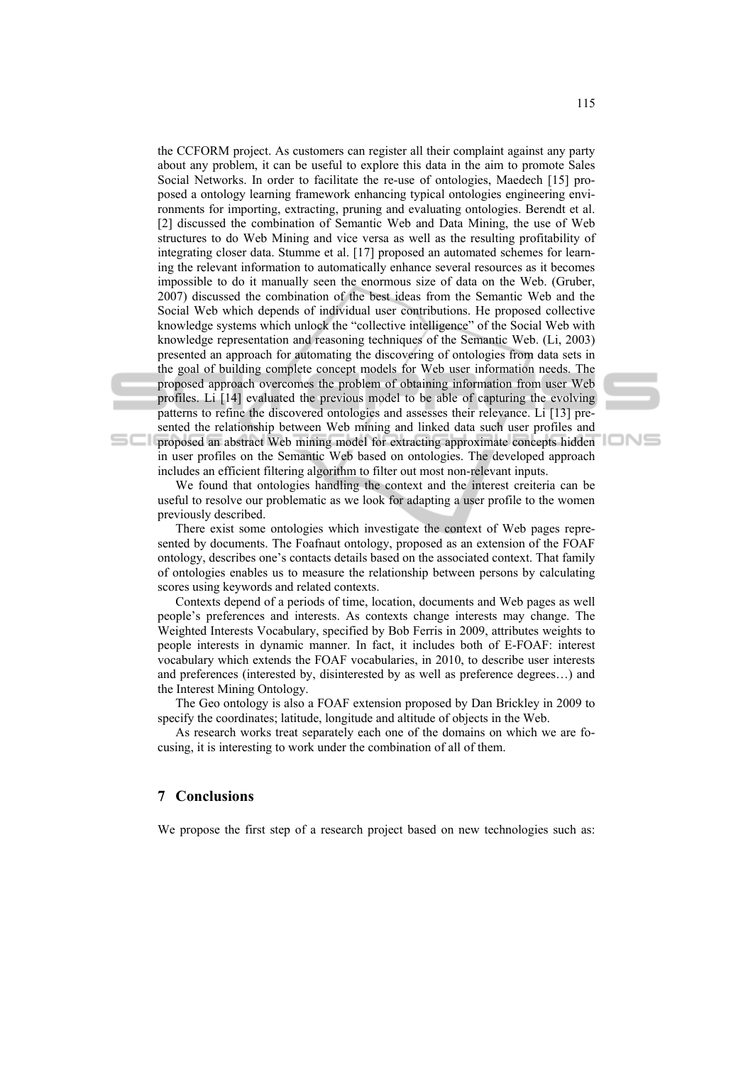the CCFORM project. As customers can register all their complaint against any party about any problem, it can be useful to explore this data in the aim to promote Sales Social Networks. In order to facilitate the re-use of ontologies, Maedech [15] proposed a ontology learning framework enhancing typical ontologies engineering environments for importing, extracting, pruning and evaluating ontologies. Berendt et al. [2] discussed the combination of Semantic Web and Data Mining, the use of Web structures to do Web Mining and vice versa as well as the resulting profitability of integrating closer data. Stumme et al. [17] proposed an automated schemes for learning the relevant information to automatically enhance several resources as it becomes impossible to do it manually seen the enormous size of data on the Web. (Gruber, 2007) discussed the combination of the best ideas from the Semantic Web and the Social Web which depends of individual user contributions. He proposed collective knowledge systems which unlock the "collective intelligence" of the Social Web with knowledge representation and reasoning techniques of the Semantic Web. (Li, 2003) presented an approach for automating the discovering of ontologies from data sets in the goal of building complete concept models for Web user information needs. The proposed approach overcomes the problem of obtaining information from user Web profiles. Li [14] evaluated the previous model to be able of capturing the evolving patterns to refine the discovered ontologies and assesses their relevance. Li [13] presented the relationship between Web mining and linked data such user profiles and

proposed an abstract Web mining model for extracting approximate concepts hidden in user profiles on the Semantic Web based on ontologies. The developed approach includes an efficient filtering algorithm to filter out most non-relevant inputs.

We found that ontologies handling the context and the interest creiteria can be useful to resolve our problematic as we look for adapting a user profile to the women previously described.

There exist some ontologies which investigate the context of Web pages represented by documents. The Foafnaut ontology, proposed as an extension of the FOAF ontology, describes one's contacts details based on the associated context. That family of ontologies enables us to measure the relationship between persons by calculating scores using keywords and related contexts.

Contexts depend of a periods of time, location, documents and Web pages as well people's preferences and interests. As contexts change interests may change. The Weighted Interests Vocabulary, specified by Bob Ferris in 2009, attributes weights to people interests in dynamic manner. In fact, it includes both of E-FOAF: interest vocabulary which extends the FOAF vocabularies, in 2010, to describe user interests and preferences (interested by, disinterested by as well as preference degrees…) and the Interest Mining Ontology.

The Geo ontology is also a FOAF extension proposed by Dan Brickley in 2009 to specify the coordinates; latitude, longitude and altitude of objects in the Web.

As research works treat separately each one of the domains on which we are focusing, it is interesting to work under the combination of all of them.

# **7 Conclusions**

sci

We propose the first step of a research project based on new technologies such as: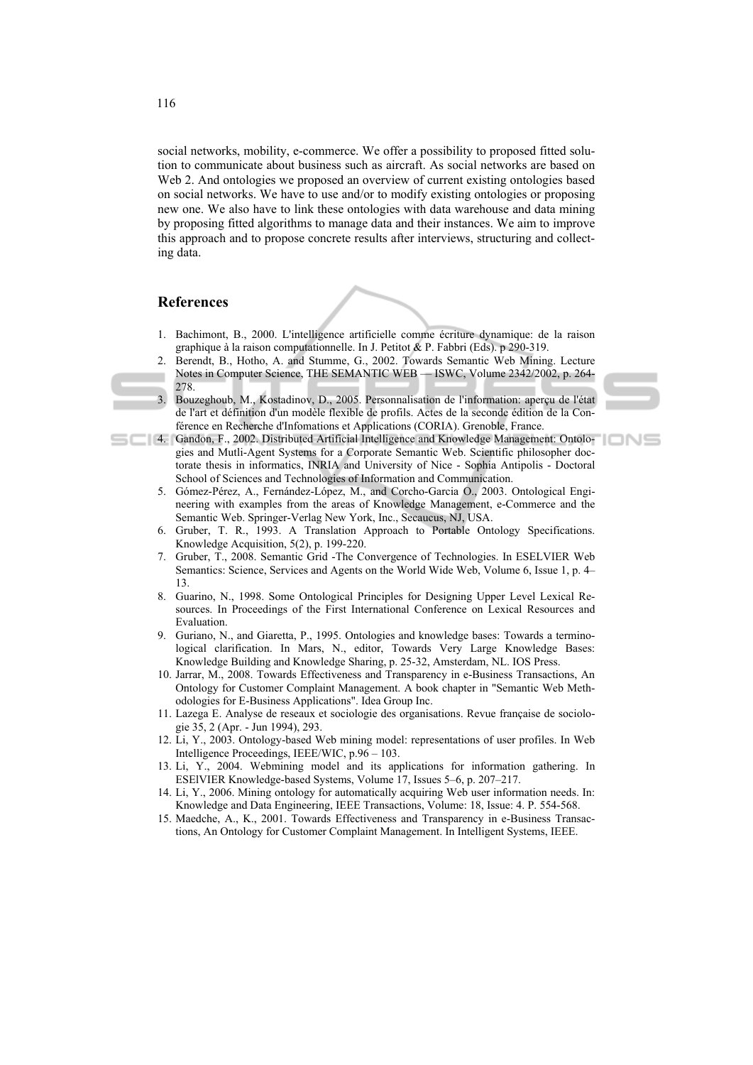social networks, mobility, e-commerce. We offer a possibility to proposed fitted solution to communicate about business such as aircraft. As social networks are based on Web 2. And ontologies we proposed an overview of current existing ontologies based on social networks. We have to use and/or to modify existing ontologies or proposing new one. We also have to link these ontologies with data warehouse and data mining by proposing fitted algorithms to manage data and their instances. We aim to improve this approach and to propose concrete results after interviews, structuring and collecting data.

### **References**

- 1. Bachimont, B., 2000. L'intelligence artificielle comme écriture dynamique: de la raison graphique à la raison computationnelle. In J. Petitot & P. Fabbri (Eds). p 290-319.
- 2. Berendt, B., Hotho, A. and Stumme, G., 2002. Towards Semantic Web Mining. Lecture Notes in Computer Science, THE SEMANTIC WEB — ISWC, Volume 2342/2002, p. 264- 278.
	- 3. Bouzeghoub, M., Kostadinov, D., 2005. Personnalisation de l'information: aperçu de l'état de l'art et définition d'un modèle flexible de profils. Actes de la seconde édition de la Conférence en Recherche d'Infomations et Applications (CORIA). Grenoble, France.
- 4. Gandon, F., 2002. Distributed Artificial Intelligence and Knowledge Management: Ontologies and Mutli-Agent Systems for a Corporate Semantic Web. Scientific philosopher doctorate thesis in informatics, INRIA and University of Nice - Sophia Antipolis - Doctoral School of Sciences and Technologies of Information and Communication.
	- 5. Gómez-Pérez, A., Fernández-López, M., and Corcho-Garcia O., 2003. Ontological Engineering with examples from the areas of Knowledge Management, e-Commerce and the Semantic Web. Springer-Verlag New York, Inc., Secaucus, NJ, USA.
	- 6. Gruber, T. R., 1993. A Translation Approach to Portable Ontology Specifications. Knowledge Acquisition, 5(2), p. 199-220.
	- 7. Gruber, T., 2008. Semantic Grid -The Convergence of Technologies. In ESELVIER Web Semantics: Science, Services and Agents on the World Wide Web, Volume 6, Issue 1, p. 4– 13.
	- 8. Guarino, N., 1998. Some Ontological Principles for Designing Upper Level Lexical Resources. In Proceedings of the First International Conference on Lexical Resources and Evaluation.
	- 9. Guriano, N., and Giaretta, P., 1995. Ontologies and knowledge bases: Towards a terminological clarification. In Mars, N., editor, Towards Very Large Knowledge Bases: Knowledge Building and Knowledge Sharing, p. 25-32, Amsterdam, NL. IOS Press.
	- 10. Jarrar, M., 2008. Towards Effectiveness and Transparency in e-Business Transactions, An Ontology for Customer Complaint Management. A book chapter in "Semantic Web Methodologies for E-Business Applications". Idea Group Inc.
	- 11. Lazega E. Analyse de reseaux et sociologie des organisations. Revue française de sociologie 35, 2 (Apr. - Jun 1994), 293.
	- 12. Li, Y., 2003. Ontology-based Web mining model: representations of user profiles. In Web Intelligence Proceedings, IEEE/WIC, p.96 – 103.
	- 13. Li, Y., 2004. Webmining model and its applications for information gathering. In ESElVIER Knowledge-based Systems, Volume 17, Issues 5–6, p. 207–217.
	- 14. Li, Y., 2006. Mining ontology for automatically acquiring Web user information needs. In: Knowledge and Data Engineering, IEEE Transactions, Volume: 18, Issue: 4. P. 554-568.
	- 15. Maedche, A., K., 2001. Towards Effectiveness and Transparency in e-Business Transactions, An Ontology for Customer Complaint Management. In Intelligent Systems, IEEE.